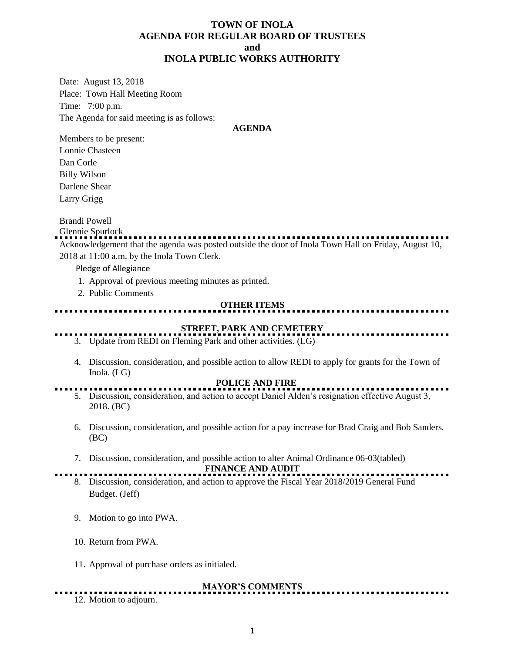### **TOWN OF INOLA AGENDA FOR REGULAR BOARD OF TRUSTEES and INOLA PUBLIC WORKS AUTHORITY**

Date: August 13, 2018 Place: Town Hall Meeting Room Time: 7:00 p.m. The Agenda for said meeting is as follows:

### **AGENDA**

Members to be present: Lonnie Chasteen Dan Corle Billy Wilson Darlene Shear Larry Grigg

Brandi Powell

Glennie Spurlock Acknowledgement that the agenda was posted outside the door of Inola Town Hall on Friday, August 10, 2018 at 11:00 a.m. by the Inola Town Clerk.

Pledge of Allegiance

- 1. Approval of previous meeting minutes as printed.
- 2. Public Comments

### **OTHER ITEMS**

# **STREET, PARK AND CEMETERY**

- 3. Update from REDI on Fleming Park and other activities. (LG)
- 4. Discussion, consideration, and possible action to allow REDI to apply for grants for the Town of Inola. (LG)

### **POLICE AND FIRE**

- 5. Discussion, consideration, and action to accept Daniel Alden's resignation effective August 3, 2018. (BC)
- 6. Discussion, consideration, and possible action for a pay increase for Brad Craig and Bob Sanders. (BC)
- 7. Discussion, consideration, and possible action to alter Animal Ordinance 06-03(tabled)

**FINANCE AND AUDIT** 

- 8. Discussion, consideration, and action to approve the Fiscal Year 2018/2019 General Fund Budget. (Jeff)
- 9. Motion to go into PWA.
- 10. Return from PWA.
- 11. Approval of purchase orders as initialed.

### **MAYOR'S COMMENTS**

12. Motion to adjourn.